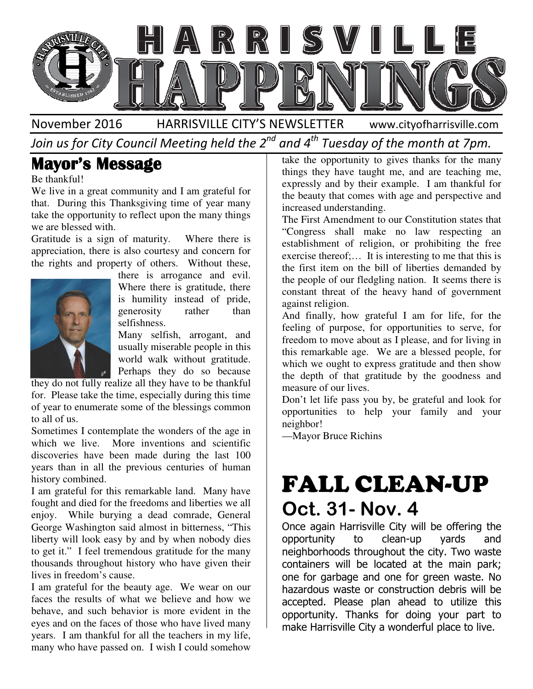

November 2016 HARRISVILLE CITY'S NEWSLETTER www.cityofharrisville.com

Join us for City Council Meeting held the 2 $^{\mathit{nd}}$  and 4 $^{\mathit{th}}$  Tuesday of the month at 7pm.

### Mayor's Message

Be thankful!

We live in a great community and I am grateful for that. During this Thanksgiving time of year many take the opportunity to reflect upon the many things we are blessed with. live in a great community and I am grateful for<br>
During this Thanksgiving time of year many<br>
the opportunity to reflect upon the many things<br>
re blessed with.<br>
itude is a sign of maturity. Where there is<br>
eciation, there i

Gratitude is a sign of maturity. Where there is appreciation, there is also courtesy and concern for the rights and property of others. Without these,



there is arrogance and evil. Where there is gratitude, there is humility instead of pride, generosity rather than selfishness.

Many selfish, arrogant, and usually miserable people in this world walk without gratitude. Perhaps they do so because

they do not fully realize all they have to be thankful for. Please take the time, especially during this time of year to enumerate some of the blessings common to all of us.

Sometimes I contemplate the wonders of the age in which we live. More inventions and scientific discoveries have been made during the last 100 years than in all the previous centuries of human history combined.

I am grateful for this remarkable land. Many have fought and died for the freedoms and liberties we all enjoy. While burying a dead comrade, General George Washington said almost in bitterness, "This liberty will look easy by and by when nobody dies to get it." I feel tremendous gratitude for the many thousands throughout history who have given their lives in freedom's cause. they do not fully realize all they have to be thankful<br>for. Please take the time, especially during this time<br>of year to enumerate some of the blessings common<br>to all of us.<br>Sometimes I contemplate the wonders of the age i

I am grateful for the beauty age. We wear on our faces the results of what we believe and how we behave, and such behavior is more evident in the eyes and on the faces of those who have lived many years. I am thankful for all the teachers in my many who have passed on. I wish I could somehow

things they have taught me, and are teaching me, expressly and by their example. I am thankful for the beauty that comes with age and perspective and increased understanding.

The First Amendment to our Constitution states that "Congress shall make no law respecting an establishment of religion, or prohibiting the free exercise thereof;… It is interesting to me that this is the first item on the bill of liberties demanded by the people of our fledgling nation. It seems there is constant threat of the heavy hand of government against religion. they have taught me, and are teaching me,<br>sly and by their example. I am thankful for<br>utty that comes with age and perspective and<br>ed understanding.<br>rst Amendment to our Constitution states that<br>ress shall make no law resp

And finally, how grateful I am for life, for the feeling of purpose, for opportunities to serve, for freedom to move about as I please, and for living in this remarkable age. We are a blessed people, for which we ought to express gratitude and then show the depth of that gratitude by the goodness and measure of our lives. the people of our fledgling nation. It seems there is<br>constant threat of the heavy hand of government<br>against religion.<br>And finally, how grateful I am for life, for the<br>feeling of purpose, for opportunities to serve, for<br>f

Don't let life pass you by, be grateful and look for opportunities to help your family and your neighbor!

—Mayor Bruce Richins

# FALL CLEAN CLEAN-UP Oct. 31- Nov. 4

**The SEARES**<br>
Washing the simulation proportion to the many the state of the many the state of the state controller than the state of the state of the state of the state of the state of the state of the state of the state Once again Harrisville City will be offering the<br>opportunity to clean-up yards and opportunity to clean neighborhoods throughout the city. Two waste containers will be located at the main park; one for garbage and one for green waste. No hazardous waste or construction debris will be accepted. Please plan ahead to utilize this opportunity. Thanks for doing your part to make Harrisville City a wonderful place to live. neighborhoods throughout the city. Two waste<br>containers will be located at the main park;<br>one for garbage and one for green waste. No<br>hazardous waste or construction debris will be<br>accepted. Please plan ahead to utilize th